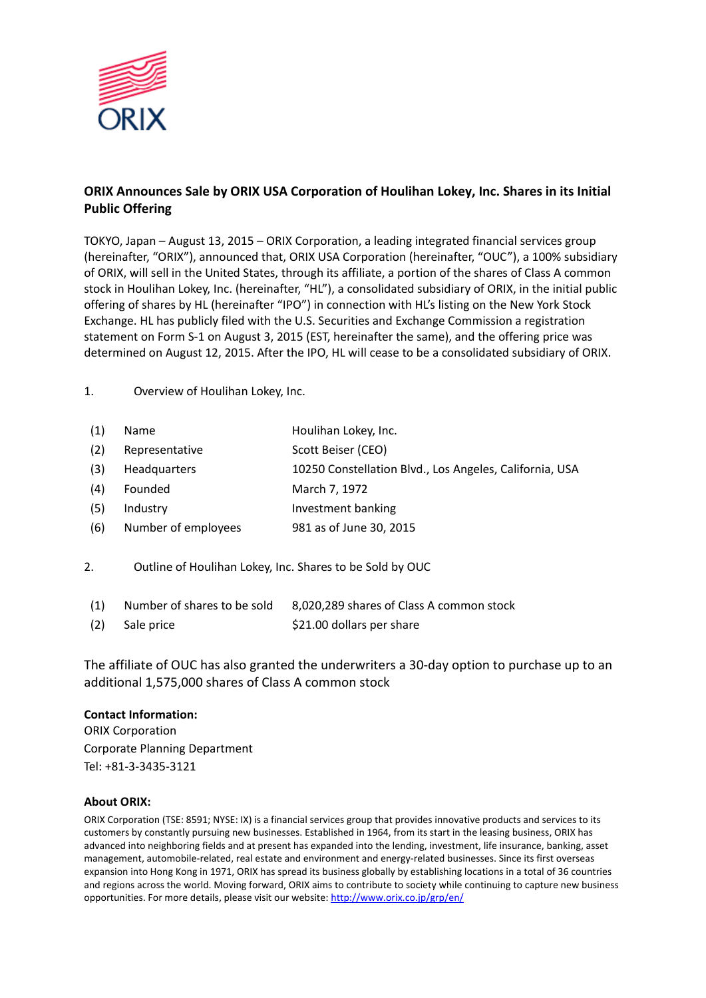

# **ORIX Announces Sale by ORIX USA Corporation of Houlihan Lokey, Inc. Shares in its Initial Public Offering**

TOKYO, Japan – August 13, 2015 – ORIX Corporation, a leading integrated financial services group (hereinafter, "ORIX"), announced that, ORIX USA Corporation (hereinafter, "OUC"), a 100% subsidiary of ORIX, will sell in the United States, through its affiliate, a portion of the shares of Class A common stock in Houlihan Lokey, Inc. (hereinafter, "HL"), a consolidated subsidiary of ORIX, in the initial public offering of shares by HL (hereinafter "IPO") in connection with HL's listing on the New York Stock Exchange. HL has publicly filed with the U.S. Securities and Exchange Commission a registration statement on Form S-1 on August 3, 2015 (EST, hereinafter the same), and the offering price was determined on August 12, 2015. After the IPO, HL will cease to be a consolidated subsidiary of ORIX.

## 1. Overview of Houlihan Lokey, Inc.

| (1) | <b>Name</b>         | Houlihan Lokey, Inc.                                    |
|-----|---------------------|---------------------------------------------------------|
| (2) | Representative      | Scott Beiser (CEO)                                      |
| (3) | <b>Headquarters</b> | 10250 Constellation Blvd., Los Angeles, California, USA |
| (4) | Founded             | March 7, 1972                                           |
| (5) | Industry            | Investment banking                                      |
| (6) | Number of employees | 981 as of June 30, 2015                                 |

2. Outline of Houlihan Lokey, Inc. Shares to be Sold by OUC

| (1) | Number of shares to be sold | 8,020,289 shares of Class A common stock |
|-----|-----------------------------|------------------------------------------|
| (2) | Sale price                  | \$21.00 dollars per share                |

The affiliate of OUC has also granted the underwriters a 30-day option to purchase up to an additional 1,575,000 shares of Class A common stock

### **Contact Information:**

ORIX Corporation Corporate Planning Department Tel: +81-3-3435-3121

### **About ORIX:**

ORIX Corporation (TSE: 8591; NYSE: IX) is a financial services group that provides innovative products and services to its customers by constantly pursuing new businesses. Established in 1964, from its start in the leasing business, ORIX has advanced into neighboring fields and at present has expanded into the lending, investment, life insurance, banking, asset management, automobile-related, real estate and environment and energy-related businesses. Since its first overseas expansion into Hong Kong in 1971, ORIX has spread its business globally by establishing locations in a total of 36 countries and regions across the world. Moving forward, ORIX aims to contribute to society while continuing to capture new business opportunities. For more details, please visit our website: http://www.orix.co.jp/grp/en/